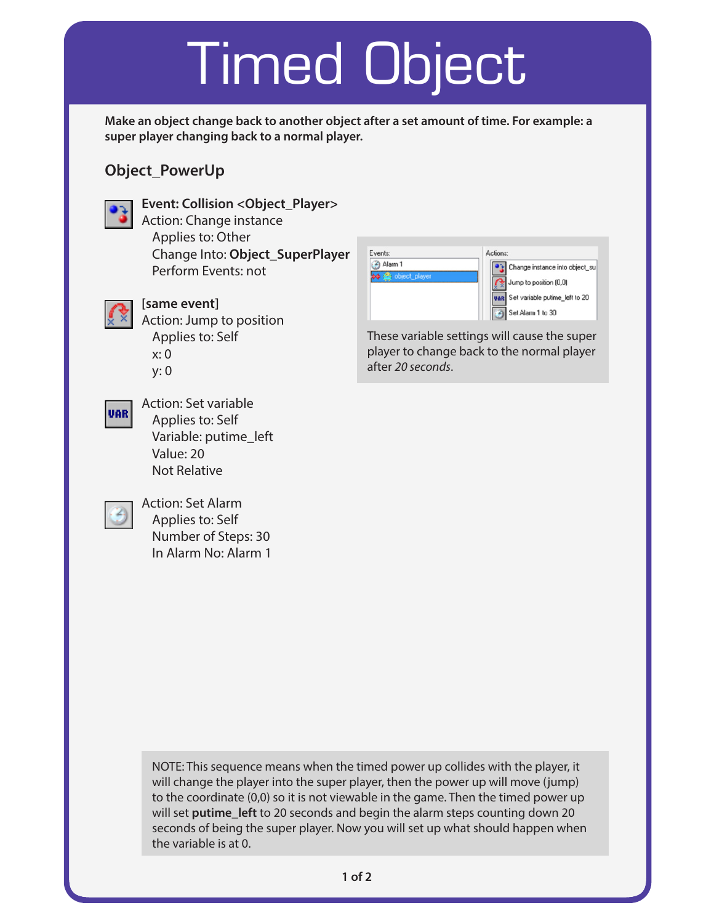## Timed Object

**Make an object change back to another object after a set amount of time. For example: a super player changing back to a normal player.**

## **Object\_PowerUp**



**Event: Collision <Object\_Player>** Action: Change instance Applies to: Other Change Into: **Object\_SuperPlayer**

Perform Events: not



**VAR** 

### **[same event]**

Value: 20 Not Relative

Action: Jump to position Applies to: Self x: 0 y: 0

Variable: putime\_left

Action: Set variable Applies to: Self



These variable settings will cause the super player to change back to the normal player after *20 seconds*.



Action: Set Alarm Applies to: Self Number of Steps: 30 In Alarm No: Alarm 1

> NOTE: This sequence means when the timed power up collides with the player, it will change the player into the super player, then the power up will move (jump) to the coordinate (0,0) so it is not viewable in the game. Then the timed power up will set **putime** left to 20 seconds and begin the alarm steps counting down 20 seconds of being the super player. Now you will set up what should happen when the variable is at 0.